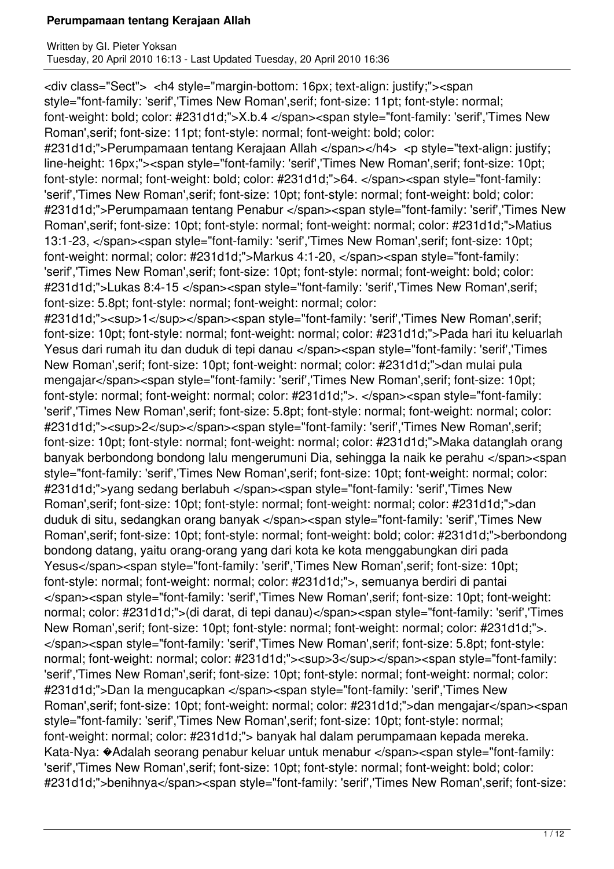<div class="Sect"> <h4 style="margin-bottom: 16px; text-align: justify;"><span style="font-family: 'serif','Times New Roman',serif; font-size: 11pt; font-style: normal; font-weight: bold; color: #231d1d;">X.b.4 </span><span style="font-family: 'serif','Times New Roman',serif; font-size: 11pt; font-style: normal; font-weight: bold; color: #231d1d;">Perumpamaan tentang Kerajaan Allah </span></h4> <p style="text-align: justify; line-height: 16px;"><span style="font-family: 'serif','Times New Roman',serif; font-size: 10pt; font-style: normal; font-weight: bold; color: #231d1d;">64. </span><span style="font-family: 'serif','Times New Roman',serif; font-size: 10pt; font-style: normal; font-weight: bold; color: #231d1d;">Perumpamaan tentang Penabur </span><span style="font-family: 'serif','Times New Roman',serif; font-size: 10pt; font-style: normal; font-weight: normal; color: #231d1d;">Matius 13:1-23, </span><span style="font-family: 'serif','Times New Roman',serif; font-size: 10pt; font-weight: normal; color: #231d1d;">Markus 4:1-20, </span><span style="font-family: 'serif','Times New Roman',serif; font-size: 10pt; font-style: normal; font-weight: bold; color: #231d1d;">Lukas 8:4-15 </span><span style="font-family: 'serif','Times New Roman',serif; font-size: 5.8pt; font-style: normal; font-weight: normal; color: #231d1d;"><sup>1</sup></span><span style="font-family: 'serif','Times New Roman',serif; font-size: 10pt; font-style: normal; font-weight: normal; color: #231d1d;">Pada hari itu keluarlah Yesus dari rumah itu dan duduk di tepi danau </span><span style="font-family: 'serif','Times New Roman',serif; font-size: 10pt; font-weight: normal; color: #231d1d;">dan mulai pula mengajar</span><span style="font-family: 'serif','Times New Roman', serif; font-size: 10pt; font-style: normal; font-weight: normal; color: #231d1d;">. </span><span style="font-family: 'serif','Times New Roman',serif; font-size: 5.8pt; font-style: normal; font-weight: normal; color: #231d1d;"><sup>2</sup></span><span style="font-family: 'serif','Times New Roman',serif; font-size: 10pt; font-style: normal; font-weight: normal; color: #231d1d;">Maka datanglah orang banyak berbondong bondong lalu mengerumuni Dia, sehingga Ia naik ke perahu </span><span style="font-family: 'serif','Times New Roman',serif; font-size: 10pt; font-weight: normal; color: #231d1d;">yang sedang berlabuh </span><span style="font-family: 'serif','Times New Roman',serif; font-size: 10pt; font-style: normal; font-weight: normal; color: #231d1d;">dan duduk di situ, sedangkan orang banyak </span><span style="font-family: 'serif','Times New Roman',serif; font-size: 10pt; font-style: normal; font-weight: bold; color: #231d1d;">berbondong bondong datang, yaitu orang-orang yang dari kota ke kota menggabungkan diri pada Yesus</span><span style="font-family: 'serif','Times New Roman',serif; font-size: 10pt; font-style: normal; font-weight: normal; color: #231d1d;">, semuanya berdiri di pantai </span><span style="font-family: 'serif','Times New Roman',serif; font-size: 10pt; font-weight: normal; color: #231d1d;">(di darat, di tepi danau)</span><span style="font-family: 'serif','Times New Roman',serif; font-size: 10pt; font-style: normal; font-weight: normal; color: #231d1d;">. </span><span style="font-family: 'serif','Times New Roman',serif; font-size: 5.8pt; font-style: normal; font-weight: normal; color: #231d1d;"><sup>3</sup></span><span style="font-family: 'serif','Times New Roman',serif; font-size: 10pt; font-style: normal; font-weight: normal; color: #231d1d;">Dan Ia mengucapkan </span><span style="font-family: 'serif','Times New Roman',serif; font-size: 10pt; font-weight: normal; color: #231d1d;">dan mengajar</span><span style="font-family: 'serif','Times New Roman',serif; font-size: 10pt; font-style: normal; font-weight: normal; color: #231d1d;"> banyak hal dalam perumpamaan kepada mereka. Kata-Nya: �Adalah seorang penabur keluar untuk menabur </span><span style="font-family: 'serif','Times New Roman',serif; font-size: 10pt; font-style: normal; font-weight: bold; color: #231d1d;">benihnya</span><span style="font-family: 'serif','Times New Roman',serif; font-size: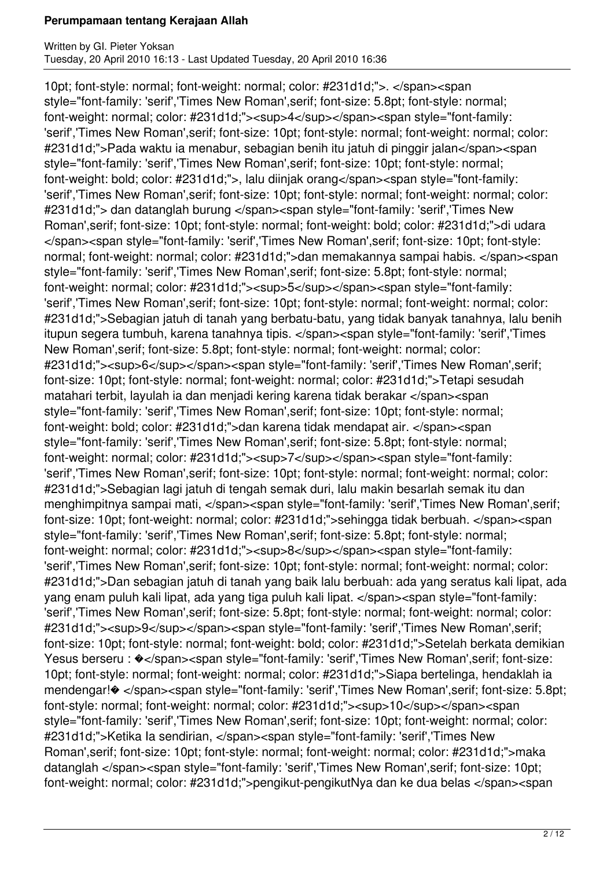10pt; font-style: normal; font-weight: normal; color: #231d1d;">. </span><span style="font-family: 'serif','Times New Roman',serif; font-size: 5.8pt; font-style: normal; font-weight: normal; color: #231d1d;"><sup>4</sup></span><span style="font-family: 'serif','Times New Roman',serif; font-size: 10pt; font-style: normal; font-weight: normal; color: #231d1d;">Pada waktu ia menabur, sebagian benih itu jatuh di pinggir jalan</span><span style="font-family: 'serif','Times New Roman',serif; font-size: 10pt; font-style: normal; font-weight: bold; color: #231d1d;">, lalu diinjak orang</span><span style="font-family: 'serif','Times New Roman',serif; font-size: 10pt; font-style: normal; font-weight: normal; color: #231d1d;"> dan datanglah burung </span><span style="font-family: 'serif','Times New Roman',serif; font-size: 10pt; font-style: normal; font-weight: bold; color: #231d1d;">di udara </span><span style="font-family: 'serif','Times New Roman',serif; font-size: 10pt; font-style: normal; font-weight: normal; color: #231d1d;">dan memakannya sampai habis. </span><span style="font-family: 'serif','Times New Roman',serif; font-size: 5.8pt; font-style: normal; font-weight: normal; color: #231d1d;"><sup>5</sup></span><span style="font-family: 'serif','Times New Roman',serif; font-size: 10pt; font-style: normal; font-weight: normal; color: #231d1d;">Sebagian jatuh di tanah yang berbatu-batu, yang tidak banyak tanahnya, lalu benih itupun segera tumbuh, karena tanahnya tipis. </span><span style="font-family: 'serif','Times New Roman',serif; font-size: 5.8pt; font-style: normal; font-weight: normal; color: #231d1d;"><sup>6</sup></span><span style="font-family: 'serif','Times New Roman',serif; font-size: 10pt; font-style: normal; font-weight: normal; color: #231d1d;">Tetapi sesudah matahari terbit, layulah ia dan menjadi kering karena tidak berakar </span><span style="font-family: 'serif','Times New Roman',serif; font-size: 10pt; font-style: normal; font-weight: bold; color: #231d1d;">dan karena tidak mendapat air. </span><span style="font-family: 'serif','Times New Roman',serif; font-size: 5.8pt; font-style: normal; font-weight: normal; color: #231d1d;"><sup>7</sup></span><span style="font-family: 'serif','Times New Roman',serif; font-size: 10pt; font-style: normal; font-weight: normal; color: #231d1d;">Sebagian lagi jatuh di tengah semak duri, lalu makin besarlah semak itu dan menghimpitnya sampai mati, </span><span style="font-family: 'serif','Times New Roman',serif; font-size: 10pt; font-weight: normal; color: #231d1d;">sehingga tidak berbuah. </span><span style="font-family: 'serif','Times New Roman',serif; font-size: 5.8pt; font-style: normal; font-weight: normal; color: #231d1d;"><sup>8</sup></span><span style="font-family: 'serif','Times New Roman',serif; font-size: 10pt; font-style: normal; font-weight: normal; color: #231d1d;">Dan sebagian jatuh di tanah yang baik lalu berbuah: ada yang seratus kali lipat, ada yang enam puluh kali lipat, ada yang tiga puluh kali lipat. </span><span style="font-family: 'serif','Times New Roman',serif; font-size: 5.8pt; font-style: normal; font-weight: normal; color: #231d1d;"><sup>9</sup></span><span style="font-family: 'serif','Times New Roman',serif; font-size: 10pt; font-style: normal; font-weight: bold; color: #231d1d;">Setelah berkata demikian Yesus berseru :  $\odot$ </span><span style="font-family: 'serif','Times New Roman',serif; font-size: 10pt; font-style: normal; font-weight: normal; color: #231d1d;">Siapa bertelinga, hendaklah ia mendengar!� </span><span style="font-family: 'serif','Times New Roman',serif; font-size: 5.8pt; font-style: normal; font-weight: normal; color: #231d1d;"><sup>10</sup></span><span style="font-family: 'serif','Times New Roman',serif; font-size: 10pt; font-weight: normal; color: #231d1d;">Ketika Ia sendirian, </span><span style="font-family: 'serif','Times New Roman',serif; font-size: 10pt; font-style: normal; font-weight: normal; color: #231d1d;">maka datanglah </span><span style="font-family: 'serif','Times New Roman',serif; font-size: 10pt; font-weight: normal; color: #231d1d;">pengikut-pengikutNya dan ke dua belas </span><span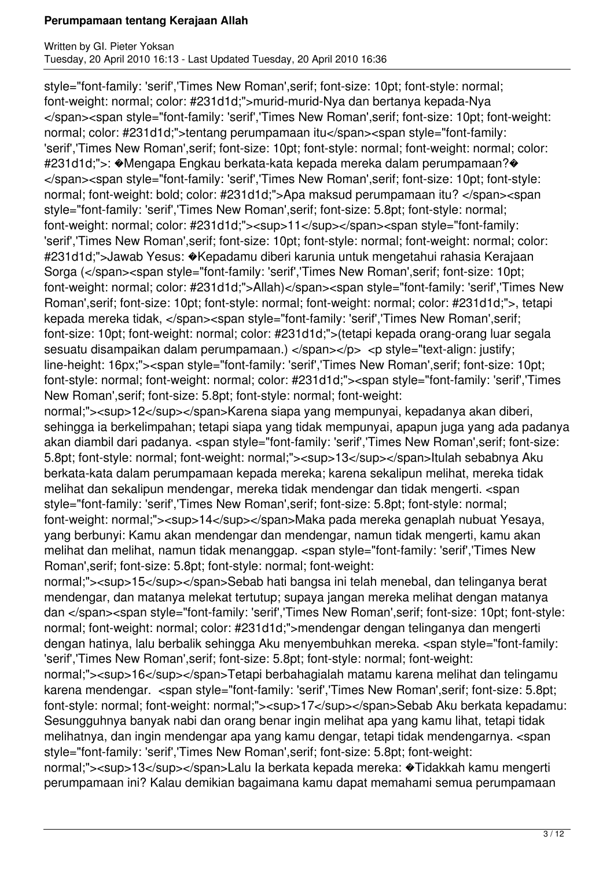style="font-family: 'serif','Times New Roman',serif; font-size: 10pt; font-style: normal; font-weight: normal; color: #231d1d;">murid-murid-Nya dan bertanya kepada-Nya </span><span style="font-family: 'serif','Times New Roman',serif; font-size: 10pt; font-weight: normal; color: #231d1d;">tentang perumpamaan itu</span><span style="font-family: 'serif','Times New Roman',serif; font-size: 10pt; font-style: normal; font-weight: normal; color: #231d1d;">: �Mengapa Engkau berkata-kata kepada mereka dalam perumpamaan?� </span><span style="font-family: 'serif','Times New Roman',serif; font-size: 10pt; font-style: normal; font-weight: bold; color: #231d1d;">Apa maksud perumpamaan itu? </span><span style="font-family: 'serif','Times New Roman',serif; font-size: 5.8pt; font-style: normal; font-weight: normal; color: #231d1d;"><sup>11</sup></span><span style="font-family: 'serif','Times New Roman',serif; font-size: 10pt; font-style: normal; font-weight: normal; color: #231d1d;">Jawab Yesus: �Kepadamu diberi karunia untuk mengetahui rahasia Kerajaan Sorga (</span><span style="font-family: 'serif','Times New Roman',serif; font-size: 10pt; font-weight: normal; color: #231d1d;">Allah)</span><span style="font-family: 'serif','Times New Roman',serif; font-size: 10pt; font-style: normal; font-weight: normal; color: #231d1d;">, tetapi kepada mereka tidak, </span><span style="font-family: 'serif','Times New Roman',serif; font-size: 10pt; font-weight: normal; color: #231d1d;">(tetapi kepada orang-orang luar segala sesuatu disampaikan dalam perumpamaan.) </span></p> <p style="text-align: justify; line-height: 16px;"><span style="font-family: 'serif','Times New Roman',serif; font-size: 10pt; font-style: normal; font-weight: normal; color: #231d1d;"><span style="font-family: 'serif','Times New Roman',serif; font-size: 5.8pt; font-style: normal; font-weight:

normal;"><sup>12</sup></span>Karena siapa yang mempunyai, kepadanya akan diberi, sehingga ia berkelimpahan; tetapi siapa yang tidak mempunyai, apapun juga yang ada padanya akan diambil dari padanya. <span style="font-family: 'serif','Times New Roman',serif; font-size: 5.8pt; font-style: normal; font-weight: normal;"><sup>13</sup></span>Itulah sebabnya Aku berkata-kata dalam perumpamaan kepada mereka; karena sekalipun melihat, mereka tidak melihat dan sekalipun mendengar, mereka tidak mendengar dan tidak mengerti. <span style="font-family: 'serif','Times New Roman',serif; font-size: 5.8pt; font-style: normal; font-weight: normal;"><sup>14</sup></span>Maka pada mereka genaplah nubuat Yesaya, yang berbunyi: Kamu akan mendengar dan mendengar, namun tidak mengerti, kamu akan melihat dan melihat, namun tidak menanggap. <span style="font-family: 'serif','Times New Roman',serif; font-size: 5.8pt; font-style: normal; font-weight:

normal;"><sup>15</sup></span>Sebab hati bangsa ini telah menebal, dan telinganya berat mendengar, dan matanya melekat tertutup; supaya jangan mereka melihat dengan matanya dan </span><span style="font-family: 'serif','Times New Roman',serif; font-size: 10pt; font-style: normal; font-weight: normal; color: #231d1d;">mendengar dengan telinganya dan mengerti dengan hatinya, lalu berbalik sehingga Aku menyembuhkan mereka. <span style="font-family: 'serif','Times New Roman',serif; font-size: 5.8pt; font-style: normal; font-weight:

normal;"><sup>16</sup></span>Tetapi berbahagialah matamu karena melihat dan telingamu karena mendengar. <span style="font-family: 'serif','Times New Roman',serif; font-size: 5.8pt; font-style: normal; font-weight: normal;"><sup>17</sup></span>Sebab Aku berkata kepadamu: Sesungguhnya banyak nabi dan orang benar ingin melihat apa yang kamu lihat, tetapi tidak melihatnya, dan ingin mendengar apa yang kamu dengar, tetapi tidak mendengarnya. <span style="font-family: 'serif','Times New Roman',serif; font-size: 5.8pt; font-weight:

normal:"><sup>13</sup></span>Lalu la berkata kepada mereka: �Tidakkah kamu mengerti perumpamaan ini? Kalau demikian bagaimana kamu dapat memahami semua perumpamaan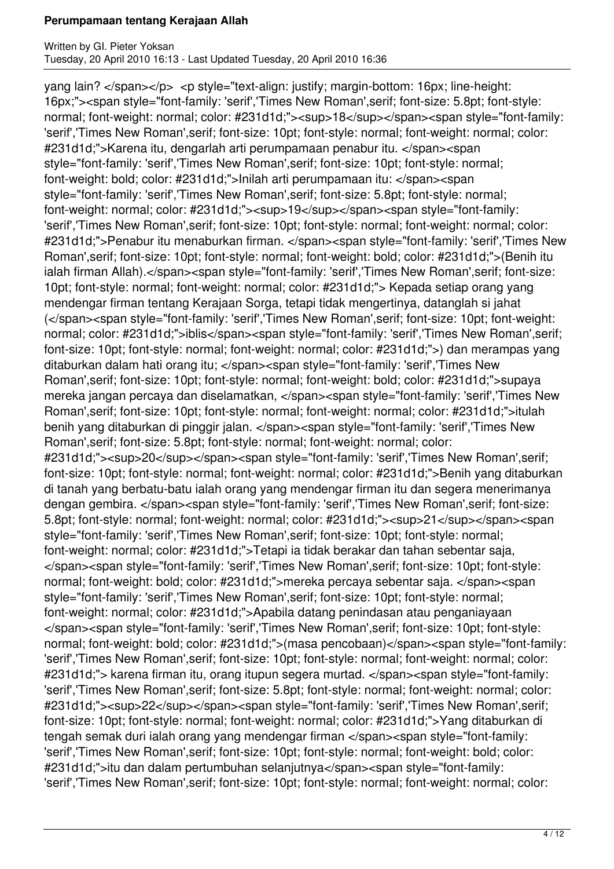yang lain? </span></p> <p style="text-align: justify; margin-bottom: 16px; line-height: 16px;"><span style="font-family: 'serif','Times New Roman',serif; font-size: 5.8pt; font-style: normal; font-weight: normal; color: #231d1d;"><sup>18</sup></span><span style="font-family: 'serif','Times New Roman',serif; font-size: 10pt; font-style: normal; font-weight: normal; color: #231d1d;">Karena itu, dengarlah arti perumpamaan penabur itu. </span><span style="font-family: 'serif','Times New Roman',serif; font-size: 10pt; font-style: normal; font-weight: bold; color: #231d1d;">Inilah arti perumpamaan itu: </span><span style="font-family: 'serif','Times New Roman',serif; font-size: 5.8pt; font-style: normal; font-weight: normal; color: #231d1d;"><sup>19</sup></span><span style="font-family: 'serif','Times New Roman',serif; font-size: 10pt; font-style: normal; font-weight: normal; color: #231d1d;">Penabur itu menaburkan firman. </span><span style="font-family: 'serif','Times New Roman',serif; font-size: 10pt; font-style: normal; font-weight: bold; color: #231d1d;">(Benih itu ialah firman Allah).</span><span style="font-family: 'serif','Times New Roman',serif; font-size: 10pt; font-style: normal; font-weight: normal; color: #231d1d;"> Kepada setiap orang yang mendengar firman tentang Kerajaan Sorga, tetapi tidak mengertinya, datanglah si jahat (</span><span style="font-family: 'serif','Times New Roman',serif; font-size: 10pt; font-weight: normal; color: #231d1d;">iblis</span><span style="font-family: 'serif','Times New Roman',serif; font-size: 10pt; font-style: normal; font-weight: normal; color: #231d1d;">) dan merampas yang ditaburkan dalam hati orang itu; </span><span style="font-family: 'serif','Times New Roman',serif; font-size: 10pt; font-style: normal; font-weight: bold; color: #231d1d;">supaya mereka jangan percaya dan diselamatkan, </span><span style="font-family: 'serif','Times New Roman',serif; font-size: 10pt; font-style: normal; font-weight: normal; color: #231d1d;">itulah benih yang ditaburkan di pinggir jalan. </span><span style="font-family: 'serif','Times New Roman',serif; font-size: 5.8pt; font-style: normal; font-weight: normal; color: #231d1d;"><sup>20</sup></span><span style="font-family: 'serif','Times New Roman',serif; font-size: 10pt; font-style: normal; font-weight: normal; color: #231d1d;">Benih yang ditaburkan di tanah yang berbatu-batu ialah orang yang mendengar firman itu dan segera menerimanya dengan gembira. </span><span style="font-family: 'serif','Times New Roman',serif; font-size: 5.8pt; font-style: normal; font-weight: normal; color: #231d1d;"><sup>21</sup></span><span style="font-family: 'serif','Times New Roman',serif; font-size: 10pt; font-style: normal; font-weight: normal; color: #231d1d;">Tetapi ia tidak berakar dan tahan sebentar saja, </span><span style="font-family: 'serif','Times New Roman',serif; font-size: 10pt; font-style: normal; font-weight: bold; color: #231d1d;">mereka percaya sebentar saja. </span><span style="font-family: 'serif','Times New Roman',serif; font-size: 10pt; font-style: normal; font-weight: normal; color: #231d1d;">Apabila datang penindasan atau penganiayaan </span><span style="font-family: 'serif','Times New Roman',serif; font-size: 10pt; font-style: normal; font-weight: bold; color: #231d1d;">(masa pencobaan)</span><span style="font-family: 'serif','Times New Roman',serif; font-size: 10pt; font-style: normal; font-weight: normal; color: #231d1d;"> karena firman itu, orang itupun segera murtad. </span><span style="font-family: 'serif','Times New Roman',serif; font-size: 5.8pt; font-style: normal; font-weight: normal; color: #231d1d;"><sup>22</sup></span><span style="font-family: 'serif','Times New Roman',serif; font-size: 10pt; font-style: normal; font-weight: normal; color: #231d1d;">Yang ditaburkan di tengah semak duri ialah orang yang mendengar firman </span><span style="font-family: 'serif','Times New Roman',serif; font-size: 10pt; font-style: normal; font-weight: bold; color: #231d1d;">itu dan dalam pertumbuhan selanjutnya</span><span style="font-family: 'serif','Times New Roman',serif; font-size: 10pt; font-style: normal; font-weight: normal; color: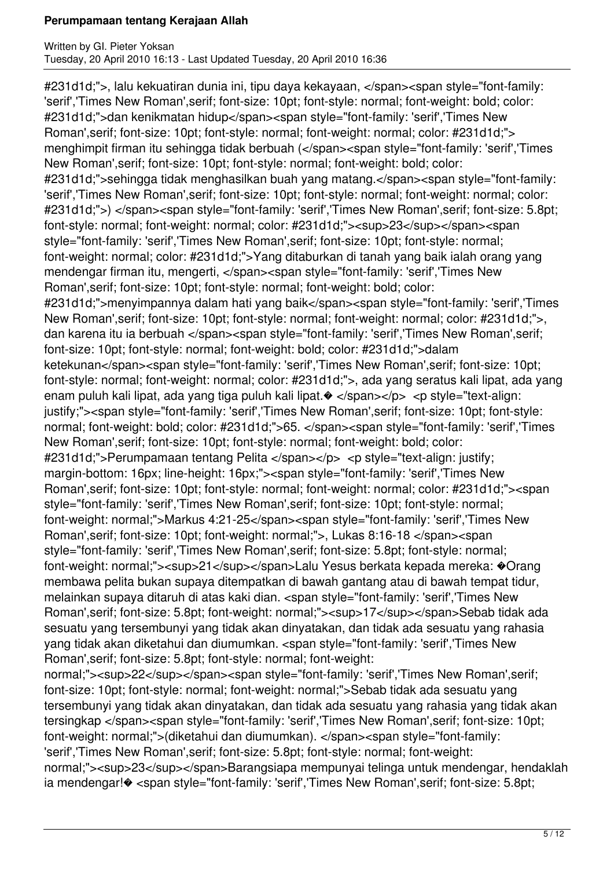#231d1d;">, lalu kekuatiran dunia ini, tipu daya kekayaan, </span><span style="font-family: 'serif','Times New Roman',serif; font-size: 10pt; font-style: normal; font-weight: bold; color: #231d1d;">dan kenikmatan hidup</span><span style="font-family: 'serif','Times New Roman',serif; font-size: 10pt; font-style: normal; font-weight: normal; color: #231d1d;"> menghimpit firman itu sehingga tidak berbuah (</span><span style="font-family: 'serif','Times New Roman',serif; font-size: 10pt; font-style: normal; font-weight: bold; color: #231d1d;">sehingga tidak menghasilkan buah yang matang.</span><span style="font-family: 'serif','Times New Roman',serif; font-size: 10pt; font-style: normal; font-weight: normal; color: #231d1d;">) </span><span style="font-family: 'serif','Times New Roman',serif; font-size: 5.8pt; font-style: normal; font-weight: normal; color: #231d1d;"><sup>23</sup></span><span style="font-family: 'serif','Times New Roman',serif; font-size: 10pt; font-style: normal; font-weight: normal; color: #231d1d;">Yang ditaburkan di tanah yang baik ialah orang yang mendengar firman itu, mengerti, </span><span style="font-family: 'serif','Times New Roman',serif; font-size: 10pt; font-style: normal; font-weight: bold; color: #231d1d;">menyimpannya dalam hati yang baik</span><span style="font-family: 'serif','Times New Roman',serif; font-size: 10pt; font-style: normal; font-weight: normal; color: #231d1d;">, dan karena itu ia berbuah </span><span style="font-family: 'serif','Times New Roman',serif; font-size: 10pt; font-style: normal; font-weight: bold; color: #231d1d;">dalam ketekunan</span><span style="font-family: 'serif','Times New Roman',serif; font-size: 10pt; font-style: normal; font-weight: normal; color: #231d1d;">, ada yang seratus kali lipat, ada yang enam puluh kali lipat, ada yang tiga puluh kali lipat. $\bullet$  </span></p> <p style="text-align: justify;"><span style="font-family: 'serif','Times New Roman',serif; font-size: 10pt; font-style: normal; font-weight: bold; color: #231d1d;">65. </span><span style="font-family: 'serif','Times New Roman',serif; font-size: 10pt; font-style: normal; font-weight: bold; color: #231d1d;">Perumpamaan tentang Pelita </span></p> <p style="text-align: justify; margin-bottom: 16px; line-height: 16px;"><span style="font-family: 'serif','Times New Roman',serif; font-size: 10pt; font-style: normal; font-weight: normal; color: #231d1d;"><span style="font-family: 'serif','Times New Roman',serif; font-size: 10pt; font-style: normal; font-weight: normal;">Markus 4:21-25</span><span style="font-family: 'serif','Times New Roman',serif; font-size: 10pt; font-weight: normal;">, Lukas 8:16-18 </span><span style="font-family: 'serif','Times New Roman',serif; font-size: 5.8pt; font-style: normal; font-weight: normal;"><sup>21</sup></span>Lalu Yesus berkata kepada mereka:  $\odot$ Crang membawa pelita bukan supaya ditempatkan di bawah gantang atau di bawah tempat tidur, melainkan supaya ditaruh di atas kaki dian. <span style="font-family: 'serif','Times New Roman', serif; font-size: 5.8pt; font-weight: normal;"><sup>17</sup></span>Sebab tidak ada sesuatu yang tersembunyi yang tidak akan dinyatakan, dan tidak ada sesuatu yang rahasia yang tidak akan diketahui dan diumumkan. <span style="font-family: 'serif','Times New Roman',serif; font-size: 5.8pt; font-style: normal; font-weight: normal;"><sup>22</sup></span><span style="font-family: 'serif','Times New Roman',serif; font-size: 10pt; font-style: normal; font-weight: normal;">Sebab tidak ada sesuatu yang tersembunyi yang tidak akan dinyatakan, dan tidak ada sesuatu yang rahasia yang tidak akan tersingkap </span><span style="font-family: 'serif','Times New Roman',serif; font-size: 10pt; font-weight: normal;">(diketahui dan diumumkan). </span><span style="font-family: 'serif','Times New Roman',serif; font-size: 5.8pt; font-style: normal; font-weight: normal;"><sup>23</sup></span>Barangsiapa mempunyai telinga untuk mendengar, hendaklah

ia mendengar!� <span style="font-family: 'serif','Times New Roman',serif; font-size: 5.8pt;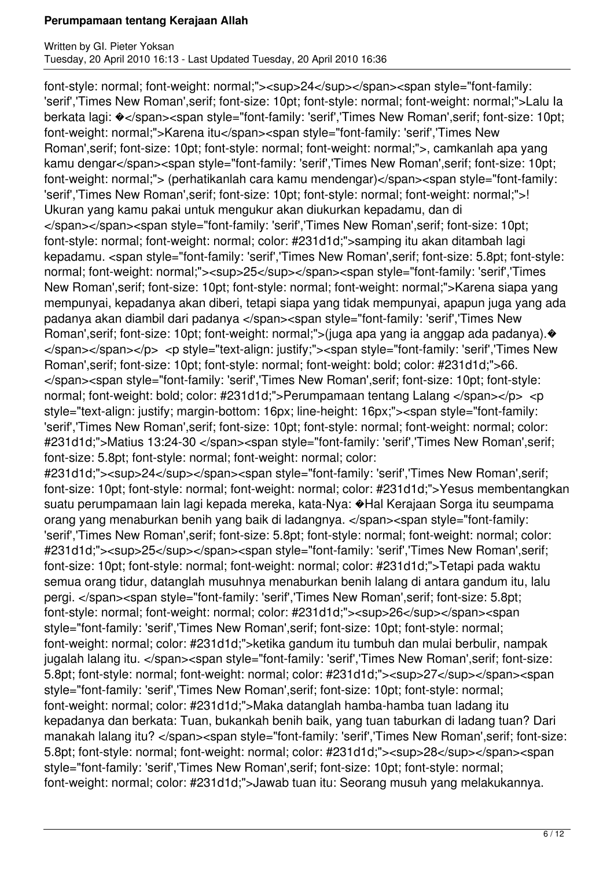font-style: normal; font-weight: normal;"><sup>24</sup></span><span style="font-family: 'serif','Times New Roman',serif; font-size: 10pt; font-style: normal; font-weight: normal;">Lalu Ia berkata lagi:  $\diamond$ </span><span style="font-family: 'serif','Times New Roman',serif; font-size: 10pt; font-weight: normal;">Karena itu</span><span style="font-family: 'serif','Times New Roman',serif; font-size: 10pt; font-style: normal; font-weight: normal;">, camkanlah apa yang kamu dengar</span><span style="font-family: 'serif','Times New Roman', serif; font-size: 10pt; font-weight: normal;"> (perhatikanlah cara kamu mendengar)</span><span style="font-family: 'serif','Times New Roman',serif; font-size: 10pt; font-style: normal; font-weight: normal;">! Ukuran yang kamu pakai untuk mengukur akan diukurkan kepadamu, dan di </span></span><span style="font-family: 'serif','Times New Roman',serif; font-size: 10pt; font-style: normal; font-weight: normal; color: #231d1d;">samping itu akan ditambah lagi kepadamu. <span style="font-family: 'serif','Times New Roman',serif; font-size: 5.8pt; font-style: normal; font-weight: normal;"><sup>25</sup></span><span style="font-family: 'serif','Times New Roman',serif; font-size: 10pt; font-style: normal; font-weight: normal;">Karena siapa yang mempunyai, kepadanya akan diberi, tetapi siapa yang tidak mempunyai, apapun juga yang ada padanya akan diambil dari padanya </span><span style="font-family: 'serif','Times New Roman',serif; font-size: 10pt; font-weight: normal;">(juga apa yang ia anggap ada padanya).� </span></span></p> <p style="text-align: justify;"><span style="font-family: 'serif','Times New Roman',serif; font-size: 10pt; font-style: normal; font-weight: bold; color: #231d1d;">66. </span><span style="font-family: 'serif','Times New Roman',serif; font-size: 10pt; font-style: normal; font-weight: bold; color: #231d1d;">Perumpamaan tentang Lalang </span></p> <p style="text-align: justify; margin-bottom: 16px; line-height: 16px;"><span style="font-family: 'serif','Times New Roman',serif; font-size: 10pt; font-style: normal; font-weight: normal; color: #231d1d;">Matius 13:24-30 </span><span style="font-family: 'serif','Times New Roman',serif; font-size: 5.8pt; font-style: normal; font-weight: normal; color:

#231d1d;"><sup>24</sup></span><span style="font-family: 'serif','Times New Roman',serif; font-size: 10pt; font-style: normal; font-weight: normal; color: #231d1d;">Yesus membentangkan suatu perumpamaan lain lagi kepada mereka, kata-Nya: �Hal Kerajaan Sorga itu seumpama orang yang menaburkan benih yang baik di ladangnya. </span><span style="font-family: 'serif','Times New Roman',serif; font-size: 5.8pt; font-style: normal; font-weight: normal; color: #231d1d;"><sup>25</sup></span><span style="font-family: 'serif','Times New Roman',serif; font-size: 10pt; font-style: normal; font-weight: normal; color: #231d1d;">Tetapi pada waktu semua orang tidur, datanglah musuhnya menaburkan benih lalang di antara gandum itu, lalu pergi. </span><span style="font-family: 'serif','Times New Roman',serif; font-size: 5.8pt; font-style: normal; font-weight: normal; color: #231d1d;"><sup>26</sup></span><span style="font-family: 'serif','Times New Roman',serif; font-size: 10pt; font-style: normal; font-weight: normal; color: #231d1d;">ketika gandum itu tumbuh dan mulai berbulir, nampak jugalah lalang itu. </span><span style="font-family: 'serif','Times New Roman',serif; font-size: 5.8pt; font-style: normal; font-weight: normal; color: #231d1d;"><sup>27</sup></span><span style="font-family: 'serif','Times New Roman',serif; font-size: 10pt; font-style: normal; font-weight: normal; color: #231d1d;">Maka datanglah hamba-hamba tuan ladang itu kepadanya dan berkata: Tuan, bukankah benih baik, yang tuan taburkan di ladang tuan? Dari manakah lalang itu? </span><span style="font-family: 'serif','Times New Roman', serif; font-size: 5.8pt; font-style: normal; font-weight: normal; color: #231d1d;"><sup>28</sup></span><span style="font-family: 'serif','Times New Roman',serif; font-size: 10pt; font-style: normal; font-weight: normal; color: #231d1d;">Jawab tuan itu: Seorang musuh yang melakukannya.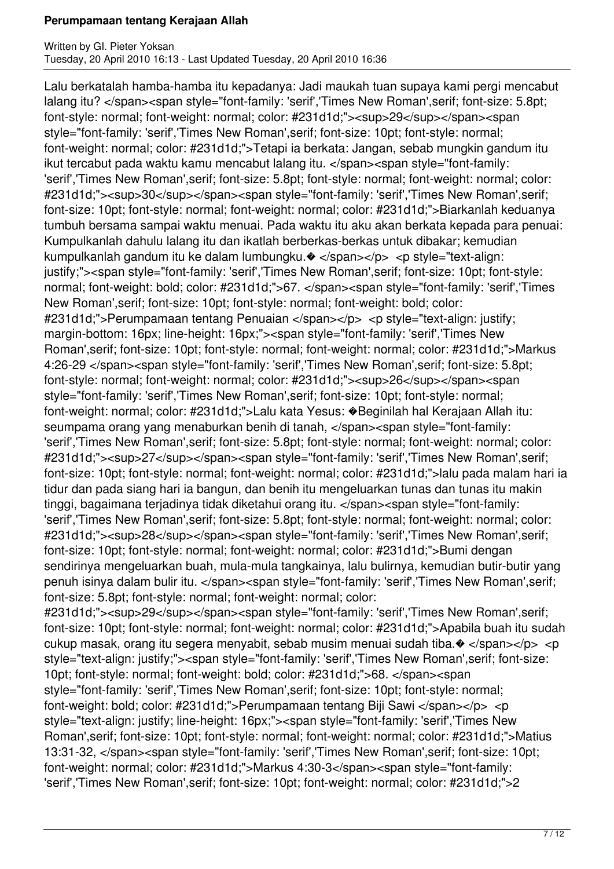Lalu berkatalah hamba-hamba itu kepadanya: Jadi maukah tuan supaya kami pergi mencabut lalang itu? </span><span style="font-family: 'serif','Times New Roman',serif; font-size: 5.8pt; font-style: normal; font-weight: normal; color: #231d1d;"><sup>29</sup></span><span style="font-family: 'serif','Times New Roman',serif; font-size: 10pt; font-style: normal; font-weight: normal; color: #231d1d;">Tetapi ia berkata: Jangan, sebab mungkin gandum itu ikut tercabut pada waktu kamu mencabut lalang itu. </span><span style="font-family: 'serif','Times New Roman',serif; font-size: 5.8pt; font-style: normal; font-weight: normal; color: #231d1d;"><sup>30</sup></span><span style="font-family: 'serif','Times New Roman',serif; font-size: 10pt; font-style: normal; font-weight: normal; color: #231d1d;">Biarkanlah keduanya tumbuh bersama sampai waktu menuai. Pada waktu itu aku akan berkata kepada para penuai: Kumpulkanlah dahulu lalang itu dan ikatlah berberkas-berkas untuk dibakar; kemudian kumpulkanlah gandum itu ke dalam lumbungku. $\bullet$  </span></p> <p style="text-align: justify;"><span style="font-family: 'serif','Times New Roman',serif; font-size: 10pt; font-style: normal; font-weight: bold; color: #231d1d;">67. </span><span style="font-family: 'serif','Times New Roman',serif; font-size: 10pt; font-style: normal; font-weight: bold; color: #231d1d;">Perumpamaan tentang Penuaian </span></p> <p style="text-align: justify; margin-bottom: 16px; line-height: 16px;"><span style="font-family: 'serif','Times New Roman',serif; font-size: 10pt; font-style: normal; font-weight: normal; color: #231d1d;">Markus 4:26-29 </span><span style="font-family: 'serif','Times New Roman',serif; font-size: 5.8pt; font-style: normal; font-weight: normal; color: #231d1d;"><sup>26</sup></span><span style="font-family: 'serif','Times New Roman',serif; font-size: 10pt; font-style: normal; font-weight: normal; color: #231d1d;">Lalu kata Yesus: �Beginilah hal Kerajaan Allah itu: seumpama orang yang menaburkan benih di tanah, </span><span style="font-family: 'serif','Times New Roman',serif; font-size: 5.8pt; font-style: normal; font-weight: normal; color: #231d1d;"><sup>27</sup></span><span style="font-family: 'serif','Times New Roman',serif; font-size: 10pt; font-style: normal; font-weight: normal; color: #231d1d;">lalu pada malam hari ia tidur dan pada siang hari ia bangun, dan benih itu mengeluarkan tunas dan tunas itu makin tinggi, bagaimana terjadinya tidak diketahui orang itu. </span><span style="font-family: 'serif','Times New Roman',serif; font-size: 5.8pt; font-style: normal; font-weight: normal; color: #231d1d;"><sup>28</sup></span><span style="font-family: 'serif','Times New Roman',serif; font-size: 10pt; font-style: normal; font-weight: normal; color: #231d1d;">Bumi dengan sendirinya mengeluarkan buah, mula-mula tangkainya, lalu bulirnya, kemudian butir-butir yang penuh isinya dalam bulir itu. </span><span style="font-family: 'serif','Times New Roman',serif; font-size: 5.8pt; font-style: normal; font-weight: normal; color: #231d1d;"><sup>29</sup></span><span style="font-family: 'serif','Times New Roman',serif; font-size: 10pt; font-style: normal; font-weight: normal; color: #231d1d;">Apabila buah itu sudah cukup masak, orang itu segera menyabit, sebab musim menuai sudah tiba. $\bullet$  </span></p> <p style="text-align: justify;"><span style="font-family: 'serif','Times New Roman',serif; font-size: 10pt; font-style: normal; font-weight: bold; color: #231d1d;">68. </span><span style="font-family: 'serif','Times New Roman',serif; font-size: 10pt; font-style: normal; font-weight: bold; color: #231d1d;">Perumpamaan tentang Biji Sawi </span></p> <p style="text-align: justify; line-height: 16px;"><span style="font-family: 'serif','Times New Roman',serif; font-size: 10pt; font-style: normal; font-weight: normal; color: #231d1d;">Matius 13:31-32, </span><span style="font-family: 'serif','Times New Roman',serif; font-size: 10pt; font-weight: normal; color: #231d1d;">Markus 4:30-3</span><span style="font-family: 'serif','Times New Roman',serif; font-size: 10pt; font-weight: normal; color: #231d1d;">2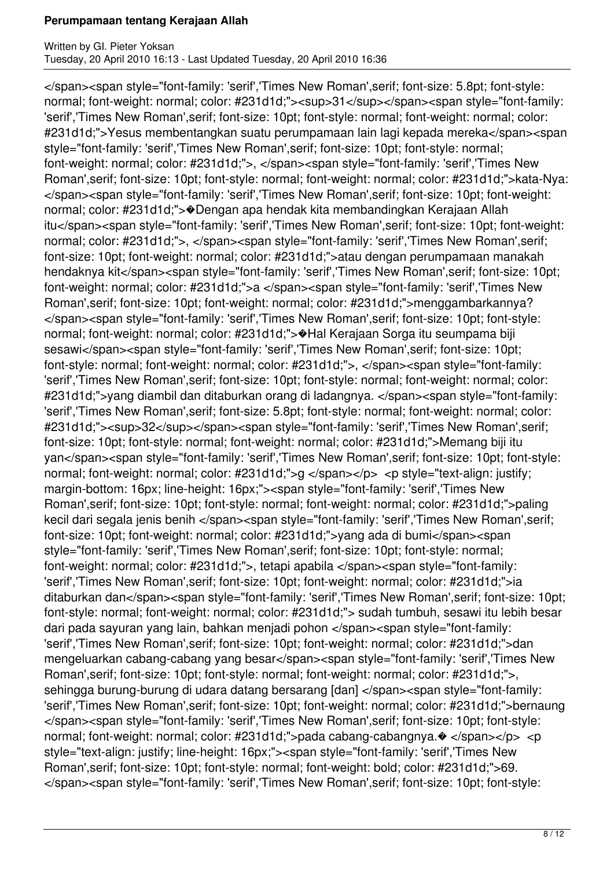</span><span style="font-family: 'serif','Times New Roman',serif; font-size: 5.8pt; font-style: normal; font-weight: normal; color: #231d1d;"><sup>31</sup></span><span style="font-family: 'serif','Times New Roman',serif; font-size: 10pt; font-style: normal; font-weight: normal; color: #231d1d;">Yesus membentangkan suatu perumpamaan lain lagi kepada mereka</span><span style="font-family: 'serif','Times New Roman',serif; font-size: 10pt; font-style: normal; font-weight: normal; color: #231d1d;">, </span><span style="font-family: 'serif','Times New Roman',serif; font-size: 10pt; font-style: normal; font-weight: normal; color: #231d1d;">kata-Nya: </span><span style="font-family: 'serif','Times New Roman',serif; font-size: 10pt; font-weight: normal; color: #231d1d;">�Dengan apa hendak kita membandingkan Kerajaan Allah itu</span><span style="font-family: 'serif','Times New Roman',serif; font-size: 10pt; font-weight: normal; color: #231d1d;">, </span><span style="font-family: 'serif','Times New Roman',serif; font-size: 10pt; font-weight: normal; color: #231d1d;">atau dengan perumpamaan manakah hendaknya kit</span><span style="font-family: 'serif','Times New Roman',serif; font-size: 10pt; font-weight: normal; color: #231d1d;">a </span><span style="font-family: 'serif','Times New Roman',serif; font-size: 10pt; font-weight: normal; color: #231d1d;">menggambarkannya? </span><span style="font-family: 'serif','Times New Roman',serif; font-size: 10pt; font-style: normal; font-weight: normal; color: #231d1d;">�Hal Kerajaan Sorga itu seumpama biji sesawi</span><span style="font-family: 'serif','Times New Roman', serif; font-size: 10pt; font-style: normal; font-weight: normal; color: #231d1d;">, </span><span style="font-family: 'serif','Times New Roman',serif; font-size: 10pt; font-style: normal; font-weight: normal; color: #231d1d;">yang diambil dan ditaburkan orang di ladangnya. </span><span style="font-family: 'serif','Times New Roman',serif; font-size: 5.8pt; font-style: normal; font-weight: normal; color: #231d1d;"><sup>32</sup></span><span style="font-family: 'serif','Times New Roman',serif; font-size: 10pt; font-style: normal; font-weight: normal; color: #231d1d;">Memang biji itu yan</span><span style="font-family: 'serif','Times New Roman',serif; font-size: 10pt; font-style: normal; font-weight: normal; color: #231d1d;">g </span></p> <p style="text-align: justify; margin-bottom: 16px; line-height: 16px;"><span style="font-family: 'serif','Times New Roman',serif; font-size: 10pt; font-style: normal; font-weight: normal; color: #231d1d;">paling kecil dari segala jenis benih </span><span style="font-family: 'serif','Times New Roman',serif; font-size: 10pt; font-weight: normal; color: #231d1d;">yang ada di bumi</span><span style="font-family: 'serif','Times New Roman',serif; font-size: 10pt; font-style: normal; font-weight: normal; color: #231d1d;">, tetapi apabila </span><span style="font-family: 'serif','Times New Roman',serif; font-size: 10pt; font-weight: normal; color: #231d1d;">ia ditaburkan dan</span><span style="font-family: 'serif','Times New Roman', serif; font-size: 10pt; font-style: normal; font-weight: normal; color: #231d1d;"> sudah tumbuh, sesawi itu lebih besar dari pada sayuran yang lain, bahkan menjadi pohon </span><span style="font-family: 'serif','Times New Roman',serif; font-size: 10pt; font-weight: normal; color: #231d1d;">dan mengeluarkan cabang-cabang yang besar</span><span style="font-family: 'serif','Times New Roman',serif; font-size: 10pt; font-style: normal; font-weight: normal; color: #231d1d;">, sehingga burung-burung di udara datang bersarang [dan] </span><span style="font-family: 'serif','Times New Roman',serif; font-size: 10pt; font-weight: normal; color: #231d1d;">bernaung </span><span style="font-family: 'serif','Times New Roman',serif; font-size: 10pt; font-style: normal; font-weight: normal; color: #231d1d;">pada cabang-cabangnya.  $\bullet$  </span></p> <p style="text-align: justify; line-height: 16px;"><span style="font-family: 'serif','Times New Roman',serif; font-size: 10pt; font-style: normal; font-weight: bold; color: #231d1d;">69. </span><span style="font-family: 'serif','Times New Roman',serif; font-size: 10pt; font-style: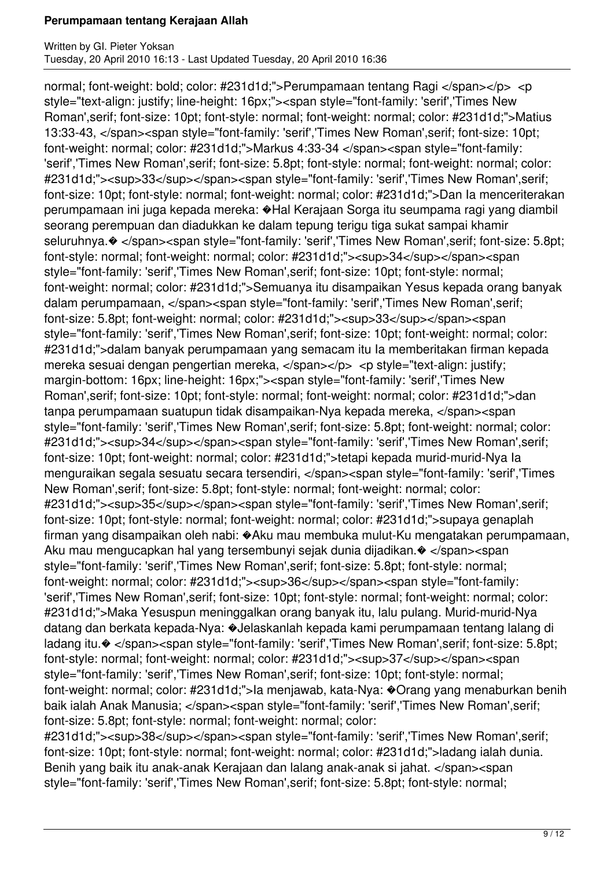normal; font-weight: bold; color: #231d1d;">Perumpamaan tentang Ragi </span></p> <p style="text-align: justify; line-height: 16px;"><span style="font-family: 'serif','Times New Roman',serif; font-size: 10pt; font-style: normal; font-weight: normal; color: #231d1d;">Matius 13:33-43, </span><span style="font-family: 'serif','Times New Roman',serif; font-size: 10pt; font-weight: normal; color: #231d1d;">Markus 4:33-34 </span><span style="font-family: 'serif','Times New Roman',serif; font-size: 5.8pt; font-style: normal; font-weight: normal; color: #231d1d;"><sup>33</sup></span><span style="font-family: 'serif','Times New Roman',serif; font-size: 10pt; font-style: normal; font-weight: normal; color: #231d1d;">Dan Ia menceriterakan perumpamaan ini juga kepada mereka: �Hal Kerajaan Sorga itu seumpama ragi yang diambil seorang perempuan dan diadukkan ke dalam tepung terigu tiga sukat sampai khamir seluruhnya. $\otimes$  </span><span style="font-family: 'serif','Times New Roman', serif; font-size: 5.8pt; font-style: normal; font-weight: normal; color: #231d1d;"><sup>34</sup></span><span style="font-family: 'serif','Times New Roman',serif; font-size: 10pt; font-style: normal; font-weight: normal; color: #231d1d;">Semuanya itu disampaikan Yesus kepada orang banyak dalam perumpamaan, </span><span style="font-family: 'serif','Times New Roman',serif; font-size: 5.8pt; font-weight: normal; color: #231d1d;"><sup>33</sup></span><span style="font-family: 'serif','Times New Roman',serif; font-size: 10pt; font-weight: normal; color: #231d1d;">dalam banyak perumpamaan yang semacam itu Ia memberitakan firman kepada mereka sesuai dengan pengertian mereka, </span></p> <p style="text-align: justify; margin-bottom: 16px; line-height: 16px;"><span style="font-family: 'serif','Times New Roman',serif; font-size: 10pt; font-style: normal; font-weight: normal; color: #231d1d;">dan tanpa perumpamaan suatupun tidak disampaikan-Nya kepada mereka, </span><span style="font-family: 'serif','Times New Roman',serif; font-size: 5.8pt; font-weight: normal; color: #231d1d;"><sup>34</sup></span><span style="font-family: 'serif','Times New Roman',serif; font-size: 10pt; font-weight: normal; color: #231d1d;">tetapi kepada murid-murid-Nya Ia menguraikan segala sesuatu secara tersendiri, </span><span style="font-family: 'serif','Times New Roman',serif; font-size: 5.8pt; font-style: normal; font-weight: normal; color: #231d1d;"><sup>35</sup></span><span style="font-family: 'serif','Times New Roman',serif; font-size: 10pt; font-style: normal; font-weight: normal; color: #231d1d;">supaya genaplah firman yang disampaikan oleh nabi: �Aku mau membuka mulut-Ku mengatakan perumpamaan, Aku mau mengucapkan hal yang tersembunyi sejak dunia dijadikan.� </span><span style="font-family: 'serif','Times New Roman',serif; font-size: 5.8pt; font-style: normal; font-weight: normal; color: #231d1d;"><sup>36</sup></span><span style="font-family: 'serif','Times New Roman',serif; font-size: 10pt; font-style: normal; font-weight: normal; color: #231d1d;">Maka Yesuspun meninggalkan orang banyak itu, lalu pulang. Murid-murid-Nya datang dan berkata kepada-Nya: �Jelaskanlah kepada kami perumpamaan tentang lalang di ladang itu.  $\diamond$  </span><span style="font-family: 'serif','Times New Roman', serif; font-size: 5.8pt; font-style: normal; font-weight: normal; color: #231d1d;"><sup>37</sup></span><span style="font-family: 'serif','Times New Roman',serif; font-size: 10pt; font-style: normal; font-weight: normal; color: #231d1d;">Ia menjawab, kata-Nya: �Orang yang menaburkan benih baik ialah Anak Manusia; </span><span style="font-family: 'serif','Times New Roman', serif; font-size: 5.8pt; font-style: normal; font-weight: normal; color:

#231d1d;"><sup>38</sup></span><span style="font-family: 'serif','Times New Roman',serif; font-size: 10pt; font-style: normal; font-weight: normal; color: #231d1d;">ladang ialah dunia. Benih yang baik itu anak-anak Kerajaan dan lalang anak-anak si jahat. </span><span style="font-family: 'serif','Times New Roman',serif; font-size: 5.8pt; font-style: normal;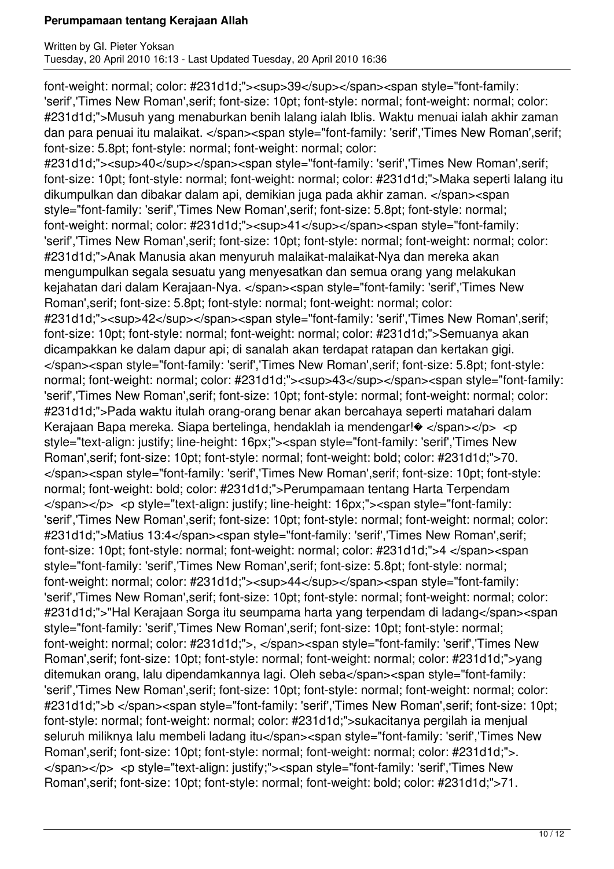font-weight: normal; color: #231d1d;"><sup>39</sup></span><span style="font-family: 'serif','Times New Roman',serif; font-size: 10pt; font-style: normal; font-weight: normal; color: #231d1d;">Musuh yang menaburkan benih lalang ialah Iblis. Waktu menuai ialah akhir zaman dan para penuai itu malaikat. </span><span style="font-family: 'serif','Times New Roman', serif; font-size: 5.8pt; font-style: normal; font-weight: normal; color:

#231d1d;"><sup>40</sup></span><span style="font-family: 'serif','Times New Roman',serif; font-size: 10pt; font-style: normal; font-weight: normal; color: #231d1d;">Maka seperti lalang itu dikumpulkan dan dibakar dalam api, demikian juga pada akhir zaman. </span><span style="font-family: 'serif','Times New Roman',serif; font-size: 5.8pt; font-style: normal; font-weight: normal; color: #231d1d;"><sup>41</sup></span><span style="font-family: 'serif','Times New Roman',serif; font-size: 10pt; font-style: normal; font-weight: normal; color: #231d1d;">Anak Manusia akan menyuruh malaikat-malaikat-Nya dan mereka akan mengumpulkan segala sesuatu yang menyesatkan dan semua orang yang melakukan kejahatan dari dalam Kerajaan-Nya. </span><span style="font-family: 'serif','Times New Roman',serif; font-size: 5.8pt; font-style: normal; font-weight: normal; color: #231d1d:"><sup>42</sup></span><span style="font-family: 'serif','Times New Roman',serif; font-size: 10pt; font-style: normal; font-weight: normal; color: #231d1d;">Semuanya akan dicampakkan ke dalam dapur api; di sanalah akan terdapat ratapan dan kertakan gigi. </span><span style="font-family: 'serif','Times New Roman',serif; font-size: 5.8pt; font-style: normal; font-weight: normal; color: #231d1d;"><sup>43</sup></span><span style="font-family: 'serif','Times New Roman',serif; font-size: 10pt; font-style: normal; font-weight: normal; color: #231d1d;">Pada waktu itulah orang-orang benar akan bercahaya seperti matahari dalam Kerajaan Bapa mereka. Siapa bertelinga, hendaklah ia mendengar! $\bullet$  </span></p> <p style="text-align: justify; line-height: 16px;"><span style="font-family: 'serif','Times New Roman',serif; font-size: 10pt; font-style: normal; font-weight: bold; color: #231d1d;">70. </span><span style="font-family: 'serif','Times New Roman',serif; font-size: 10pt; font-style: normal; font-weight: bold; color: #231d1d;">Perumpamaan tentang Harta Terpendam </span></p> <p style="text-align: justify; line-height: 16px;"><span style="font-family: 'serif','Times New Roman',serif; font-size: 10pt; font-style: normal; font-weight: normal; color: #231d1d;">Matius 13:4</span><span style="font-family: 'serif','Times New Roman',serif; font-size: 10pt; font-style: normal; font-weight: normal; color: #231d1d;">4 </span><span style="font-family: 'serif','Times New Roman',serif; font-size: 5.8pt; font-style: normal; font-weight: normal; color: #231d1d;"><sup>44</sup></span><span style="font-family: 'serif','Times New Roman',serif; font-size: 10pt; font-style: normal; font-weight: normal; color: #231d1d;">"Hal Kerajaan Sorga itu seumpama harta yang terpendam di ladang</span><span style="font-family: 'serif','Times New Roman',serif; font-size: 10pt; font-style: normal; font-weight: normal; color: #231d1d;">, </span><span style="font-family: 'serif','Times New Roman',serif; font-size: 10pt; font-style: normal; font-weight: normal; color: #231d1d;">yang ditemukan orang, lalu dipendamkannya lagi. Oleh seba</span><span style="font-family: 'serif','Times New Roman',serif; font-size: 10pt; font-style: normal; font-weight: normal; color: #231d1d;">b </span><span style="font-family: 'serif','Times New Roman',serif; font-size: 10pt; font-style: normal; font-weight: normal; color: #231d1d;">sukacitanya pergilah ia menjual seluruh miliknya lalu membeli ladang itu</span><span style="font-family: 'serif','Times New Roman',serif; font-size: 10pt; font-style: normal; font-weight: normal; color: #231d1d;">. </span></p> <p style="text-align: justify;"><span style="font-family: 'serif','Times New Roman',serif; font-size: 10pt; font-style: normal; font-weight: bold; color: #231d1d;">71.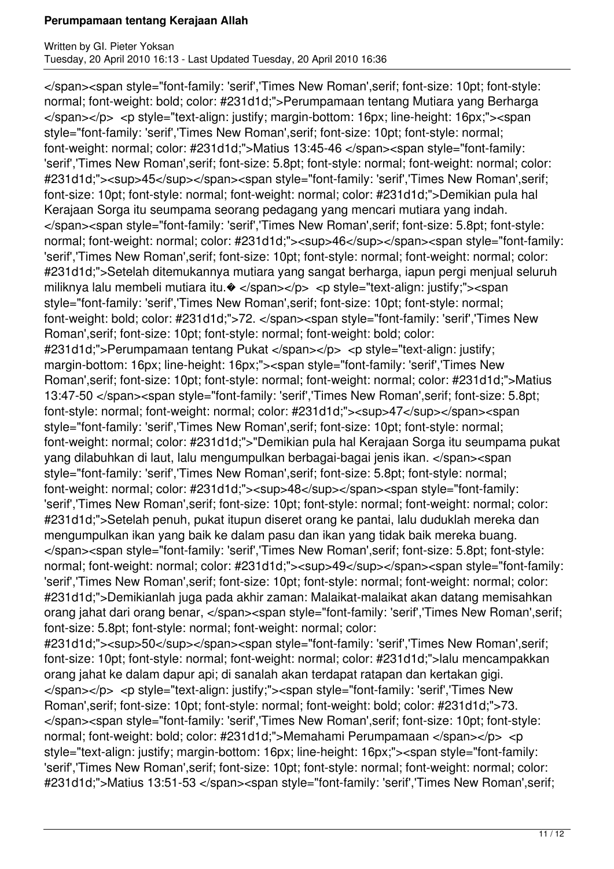</span><span style="font-family: 'serif','Times New Roman',serif; font-size: 10pt; font-style: normal; font-weight: bold; color: #231d1d;">Perumpamaan tentang Mutiara yang Berharga </span></p> <p style="text-align: justify; margin-bottom: 16px; line-height: 16px;"><span style="font-family: 'serif','Times New Roman',serif; font-size: 10pt; font-style: normal; font-weight: normal; color: #231d1d;">Matius 13:45-46 </span><span style="font-family: 'serif','Times New Roman',serif; font-size: 5.8pt; font-style: normal; font-weight: normal; color: #231d1d;"><sup>45</sup></span><span style="font-family: 'serif','Times New Roman',serif; font-size: 10pt; font-style: normal; font-weight: normal; color: #231d1d;">Demikian pula hal Kerajaan Sorga itu seumpama seorang pedagang yang mencari mutiara yang indah. </span><span style="font-family: 'serif','Times New Roman',serif; font-size: 5.8pt; font-style: normal; font-weight: normal; color: #231d1d;"><sup>46</sup></span><span style="font-family: 'serif','Times New Roman',serif; font-size: 10pt; font-style: normal; font-weight: normal; color: #231d1d;">Setelah ditemukannya mutiara yang sangat berharga, iapun pergi menjual seluruh miliknya lalu membeli mutiara itu. $\bullet$  </span></p> <p style="text-align: justify;"><span style="font-family: 'serif','Times New Roman',serif; font-size: 10pt; font-style: normal; font-weight: bold; color: #231d1d;">72. </span><span style="font-family: 'serif','Times New Roman',serif; font-size: 10pt; font-style: normal; font-weight: bold; color: #231d1d;">Perumpamaan tentang Pukat </span></p> <p style="text-align: justify; margin-bottom: 16px; line-height: 16px;"><span style="font-family: 'serif','Times New Roman',serif; font-size: 10pt; font-style: normal; font-weight: normal; color: #231d1d;">Matius 13:47-50 </span><span style="font-family: 'serif','Times New Roman',serif; font-size: 5.8pt; font-style: normal; font-weight: normal; color: #231d1d;"><sup>47</sup></span><span style="font-family: 'serif','Times New Roman',serif; font-size: 10pt; font-style: normal; font-weight: normal; color: #231d1d;">"Demikian pula hal Kerajaan Sorga itu seumpama pukat yang dilabuhkan di laut, lalu mengumpulkan berbagai-bagai jenis ikan. </span><span style="font-family: 'serif','Times New Roman',serif; font-size: 5.8pt; font-style: normal; font-weight: normal; color: #231d1d;"><sup>48</sup></span><span style="font-family: 'serif','Times New Roman',serif; font-size: 10pt; font-style: normal; font-weight: normal; color: #231d1d;">Setelah penuh, pukat itupun diseret orang ke pantai, lalu duduklah mereka dan mengumpulkan ikan yang baik ke dalam pasu dan ikan yang tidak baik mereka buang. </span><span style="font-family: 'serif','Times New Roman',serif; font-size: 5.8pt; font-style: normal; font-weight: normal; color: #231d1d;"><sup>49</sup></span><span style="font-family: 'serif','Times New Roman',serif; font-size: 10pt; font-style: normal; font-weight: normal; color: #231d1d;">Demikianlah juga pada akhir zaman: Malaikat-malaikat akan datang memisahkan orang jahat dari orang benar, </span><span style="font-family: 'serif','Times New Roman',serif; font-size: 5.8pt; font-style: normal; font-weight: normal; color: #231d1d;"><sup>50</sup></span><span style="font-family: 'serif','Times New Roman',serif; font-size: 10pt; font-style: normal; font-weight: normal; color: #231d1d;">lalu mencampakkan orang jahat ke dalam dapur api; di sanalah akan terdapat ratapan dan kertakan gigi. </span></p> <p style="text-align: justify;"><span style="font-family: 'serif','Times New Roman',serif; font-size: 10pt; font-style: normal; font-weight: bold; color: #231d1d;">73. </span><span style="font-family: 'serif','Times New Roman',serif; font-size: 10pt; font-style: normal; font-weight: bold; color: #231d1d;">Memahami Perumpamaan </span></p> <p style="text-align: justify; margin-bottom: 16px; line-height: 16px;"><span style="font-family: 'serif','Times New Roman',serif; font-size: 10pt; font-style: normal; font-weight: normal; color:

#231d1d;">Matius 13:51-53 </span><span style="font-family: 'serif','Times New Roman',serif;